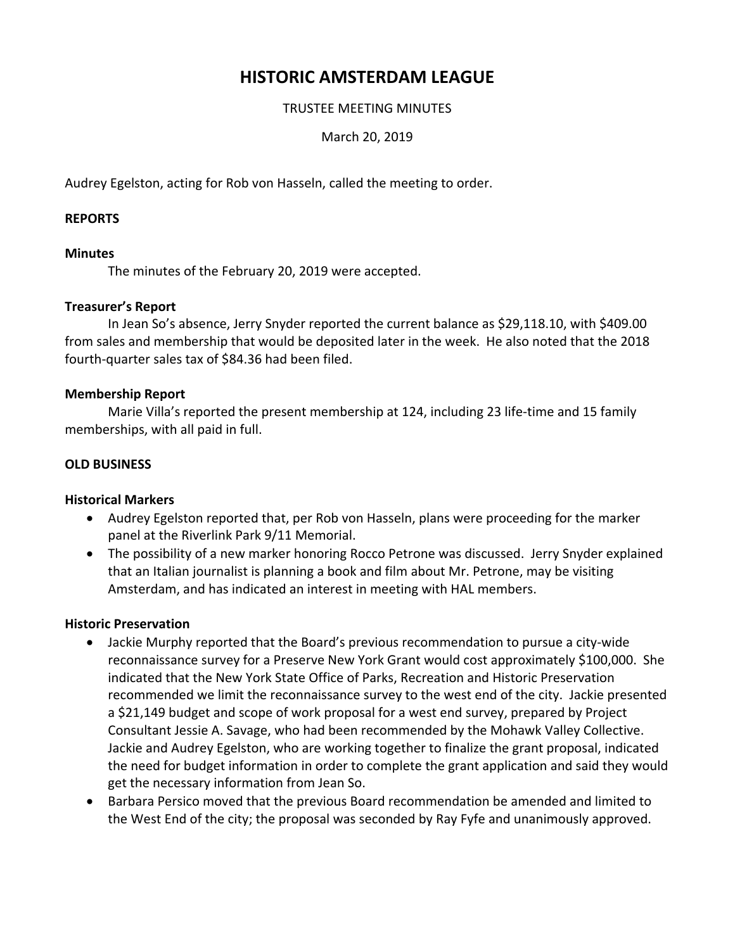# **HISTORIC AMSTERDAM LEAGUE**

## TRUSTEE MEETING MINUTES

March 20, 2019

Audrey Egelston, acting for Rob von Hasseln, called the meeting to order.

## **REPORTS**

## **Minutes**

The minutes of the February 20, 2019 were accepted.

## **Treasurer's Report**

In Jean So's absence, Jerry Snyder reported the current balance as \$29,118.10, with \$409.00 from sales and membership that would be deposited later in the week. He also noted that the 2018 fourth‐quarter sales tax of \$84.36 had been filed.

## **Membership Report**

Marie Villa's reported the present membership at 124, including 23 life-time and 15 family memberships, with all paid in full.

## **OLD BUSINESS**

## **Historical Markers**

- Audrey Egelston reported that, per Rob von Hasseln, plans were proceeding for the marker panel at the Riverlink Park 9/11 Memorial.
- The possibility of a new marker honoring Rocco Petrone was discussed. Jerry Snyder explained that an Italian journalist is planning a book and film about Mr. Petrone, may be visiting Amsterdam, and has indicated an interest in meeting with HAL members.

## **Historic Preservation**

- Jackie Murphy reported that the Board's previous recommendation to pursue a city‐wide reconnaissance survey for a Preserve New York Grant would cost approximately \$100,000. She indicated that the New York State Office of Parks, Recreation and Historic Preservation recommended we limit the reconnaissance survey to the west end of the city. Jackie presented a \$21,149 budget and scope of work proposal for a west end survey, prepared by Project Consultant Jessie A. Savage, who had been recommended by the Mohawk Valley Collective. Jackie and Audrey Egelston, who are working together to finalize the grant proposal, indicated the need for budget information in order to complete the grant application and said they would get the necessary information from Jean So.
- Barbara Persico moved that the previous Board recommendation be amended and limited to the West End of the city; the proposal was seconded by Ray Fyfe and unanimously approved.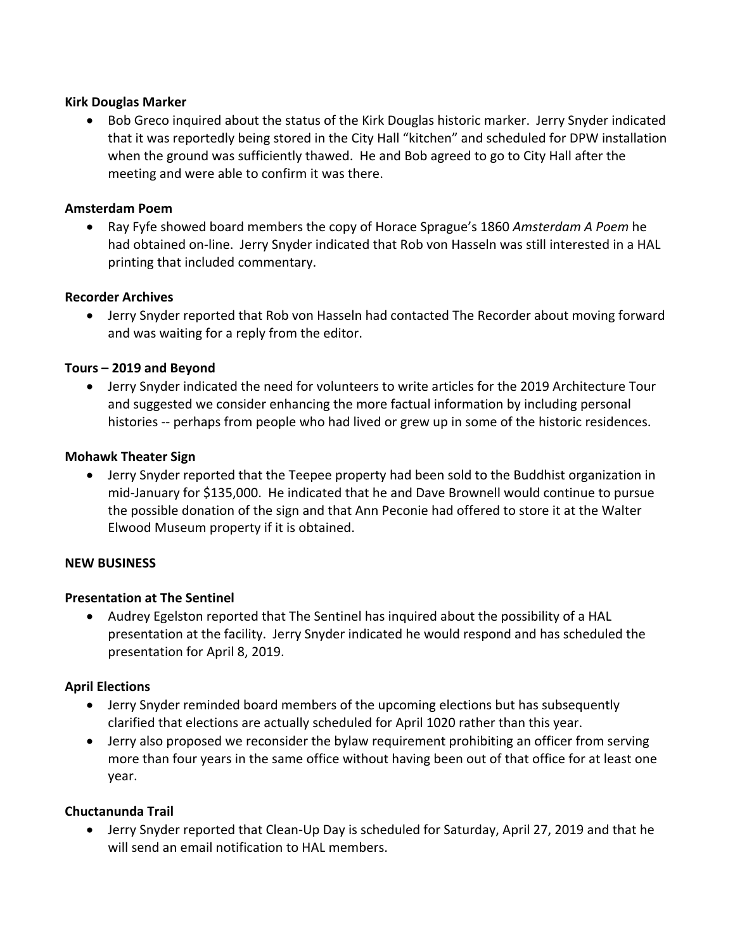## **Kirk Douglas Marker**

 Bob Greco inquired about the status of the Kirk Douglas historic marker. Jerry Snyder indicated that it was reportedly being stored in the City Hall "kitchen" and scheduled for DPW installation when the ground was sufficiently thawed. He and Bob agreed to go to City Hall after the meeting and were able to confirm it was there.

## **Amsterdam Poem**

 Ray Fyfe showed board members the copy of Horace Sprague's 1860 *Amsterdam A Poem* he had obtained on‐line. Jerry Snyder indicated that Rob von Hasseln was still interested in a HAL printing that included commentary.

## **Recorder Archives**

 Jerry Snyder reported that Rob von Hasseln had contacted The Recorder about moving forward and was waiting for a reply from the editor.

## **Tours – 2019 and Beyond**

 Jerry Snyder indicated the need for volunteers to write articles for the 2019 Architecture Tour and suggested we consider enhancing the more factual information by including personal histories -- perhaps from people who had lived or grew up in some of the historic residences.

## **Mohawk Theater Sign**

 Jerry Snyder reported that the Teepee property had been sold to the Buddhist organization in mid‐January for \$135,000. He indicated that he and Dave Brownell would continue to pursue the possible donation of the sign and that Ann Peconie had offered to store it at the Walter Elwood Museum property if it is obtained.

## **NEW BUSINESS**

## **Presentation at The Sentinel**

 Audrey Egelston reported that The Sentinel has inquired about the possibility of a HAL presentation at the facility. Jerry Snyder indicated he would respond and has scheduled the presentation for April 8, 2019.

## **April Elections**

- Jerry Snyder reminded board members of the upcoming elections but has subsequently clarified that elections are actually scheduled for April 1020 rather than this year.
- Jerry also proposed we reconsider the bylaw requirement prohibiting an officer from serving more than four years in the same office without having been out of that office for at least one year.

## **Chuctanunda Trail**

● Jerry Snyder reported that Clean-Up Day is scheduled for Saturday, April 27, 2019 and that he will send an email notification to HAL members.